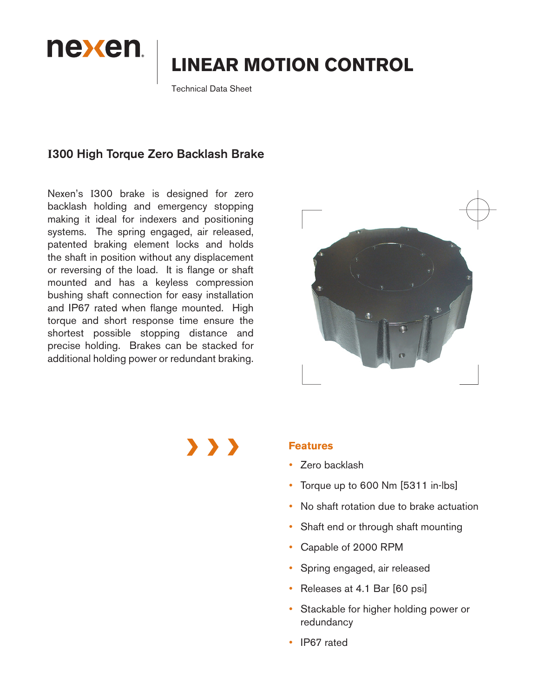

## **LINEAR MOTION CONTROL**

Technical Data Sheet

### **I**300 High Torque Zero Backlash Brake

Nexen's I300 brake is designed for zero backlash holding and emergency stopping making it ideal for indexers and positioning systems. The spring engaged, air released, patented braking element locks and holds the shaft in position without any displacement or reversing of the load. It is flange or shaft mounted and has a keyless compression bushing shaft connection for easy installation and IP67 rated when flange mounted. High torque and short response time ensure the shortest possible stopping distance and precise holding. Brakes can be stacked for additional holding power or redundant braking.



# $\rightarrow$

#### **Features**

- Zero backlash
- Torque up to 600 Nm [5311 in-lbs]
- No shaft rotation due to brake actuation
- Shaft end or through shaft mounting
- Capable of 2000 RPM
- Spring engaged, air released
- Releases at 4.1 Bar [60 psi]
- Stackable for higher holding power or redundancy
- IP67 rated